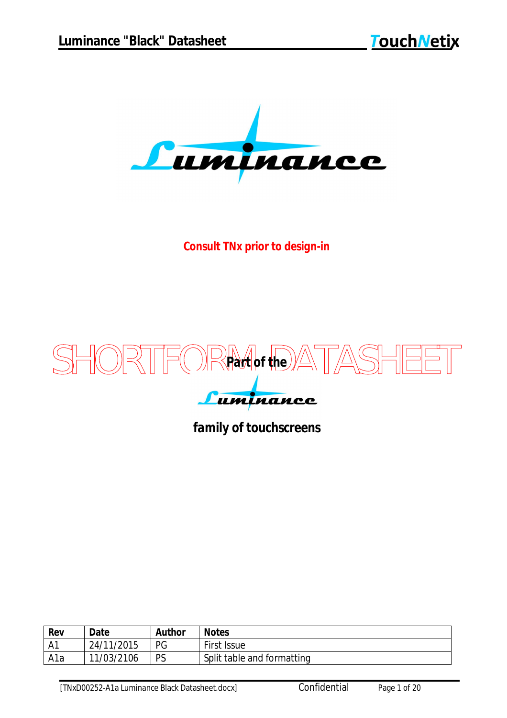

*Consult TNx prior to design-in*



## *family of touchscreens*

| Rev | Date       | <b>Author</b> | <b>Notes</b>               |
|-----|------------|---------------|----------------------------|
| -A1 | 24/11/2015 | PG            | First Issue                |
| A1a | 11/03/2106 | PS            | Split table and formatting |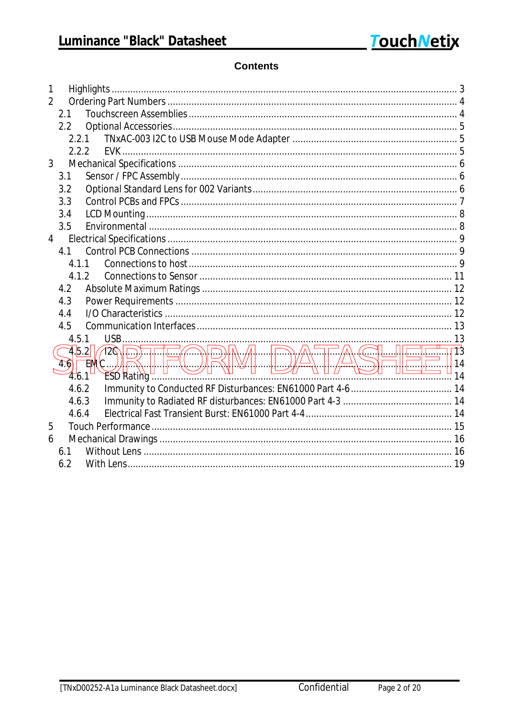#### **Contents**

| 1              |               |                                                                                                                                                                                                                                                                                      |  |
|----------------|---------------|--------------------------------------------------------------------------------------------------------------------------------------------------------------------------------------------------------------------------------------------------------------------------------------|--|
| $\overline{2}$ |               |                                                                                                                                                                                                                                                                                      |  |
|                | 2.1           |                                                                                                                                                                                                                                                                                      |  |
|                | 2.2           |                                                                                                                                                                                                                                                                                      |  |
|                | 2.2.1         |                                                                                                                                                                                                                                                                                      |  |
|                | 2.2.2         |                                                                                                                                                                                                                                                                                      |  |
| $\mathfrak{Z}$ |               |                                                                                                                                                                                                                                                                                      |  |
|                | 3.1           |                                                                                                                                                                                                                                                                                      |  |
|                | 3.2           |                                                                                                                                                                                                                                                                                      |  |
|                | 3.3           |                                                                                                                                                                                                                                                                                      |  |
|                | 3.4           |                                                                                                                                                                                                                                                                                      |  |
|                | 3.5           |                                                                                                                                                                                                                                                                                      |  |
| $\overline{4}$ |               |                                                                                                                                                                                                                                                                                      |  |
|                | 4.1           |                                                                                                                                                                                                                                                                                      |  |
|                | 4.1.1         |                                                                                                                                                                                                                                                                                      |  |
|                | 4.1.2         |                                                                                                                                                                                                                                                                                      |  |
|                | 4.2           |                                                                                                                                                                                                                                                                                      |  |
|                | 4.3           |                                                                                                                                                                                                                                                                                      |  |
|                | 4.4           |                                                                                                                                                                                                                                                                                      |  |
|                | 4.5           |                                                                                                                                                                                                                                                                                      |  |
|                | 4.5.1         |                                                                                                                                                                                                                                                                                      |  |
|                | 4.5.2         | <b>DECE DRA</b> DATA SHEET 13<br>$\mathbb{P} \mathbb{Q}$ .                                                                                                                                                                                                                           |  |
|                | $\mathcal{A}$ | EMC                                                                                                                                                                                                                                                                                  |  |
|                | 4.6.1         | $\sim$ 14 $\sim$ 10 $\sim$ 14 $\sim$ 14 $\sim$ 14 $\sim$ 14 $\sim$ 14 $\sim$ 14 $\sim$ 14 $\sim$ 14 $\sim$ 14 $\sim$ 14 $\sim$ 15 $\sim$ 14 $\sim$ 15 $\sim$ 15 $\sim$ 15 $\sim$ 16 $\sim$ 16 $\sim$ 16 $\sim$ 16 $\sim$ 16 $\sim$ 16 $\sim$ 16 $\sim$ 16 $\sim$ 16 $\sim$ 16 $\sim$ |  |
|                | 4.6.2         |                                                                                                                                                                                                                                                                                      |  |
|                | 4.6.3         |                                                                                                                                                                                                                                                                                      |  |
|                | 4.6.4         |                                                                                                                                                                                                                                                                                      |  |
| 5              |               |                                                                                                                                                                                                                                                                                      |  |
| 6              |               |                                                                                                                                                                                                                                                                                      |  |
|                | 6.1           |                                                                                                                                                                                                                                                                                      |  |
|                | 6.2           |                                                                                                                                                                                                                                                                                      |  |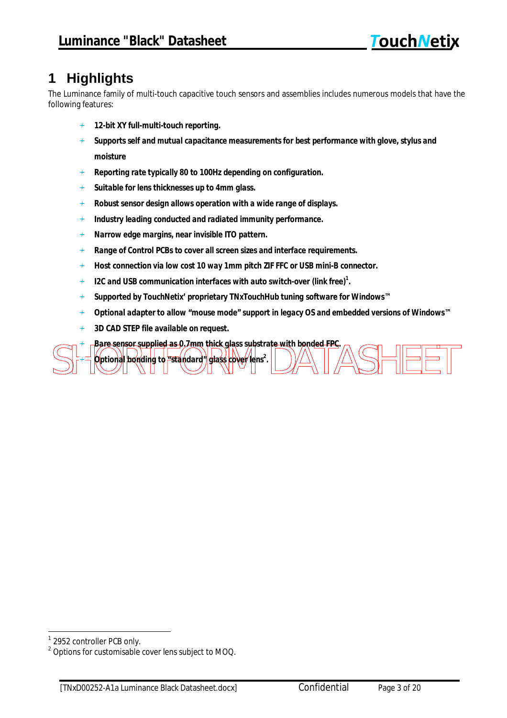# **1 Highlights**

The Luminance family of multi-touch capacitive touch sensors and assemblies includes numerous models that have the following features:

- *12-bit XY full-multi-touch reporting.*
- *Supports self and mutual capacitance measurements for best performance with glove, stylus and moisture*
- *Reporting rate typically 80 to 100Hz depending on configuration.*
- *Suitable for lens thicknesses up to 4mm glass.*  $+$
- *Robust sensor design allows operation with a wide range of displays.*
- *Industry leading conducted and radiated immunity performance.*  $+$
- *Narrow edge margins, near invisible ITO pattern.*
- *Range of Control PCBs to cover all screen sizes and interface requirements.*
- *Host connection via low cost 10 way 1mm pitch ZIF FFC or USB mini-B connector.*
- *I2C and USB communication interfaces with auto switch-over (link free)<sup>1</sup> .*
- *Supported by TouchNetix' proprietary TNxTouchHub tuning software for Windows™*
- *Optional adapter to allow "mouse mode" support in legacy OS and embedded versions of Windows™*
- $+$ *3D CAD STEP file available on request.*

 $\triangle\$  $\Box$ *Bare sensor supplied as 0.7mm thick glass substrate with bonded FPC. Optional bonding to "standard" glass cover lens<sup>2</sup> .*

 $\ddot{\phantom{0}}$ <sup>1</sup> 2952 controller PCB only.

<sup>&</sup>lt;sup>2</sup> Options for customisable cover lens subject to MOQ.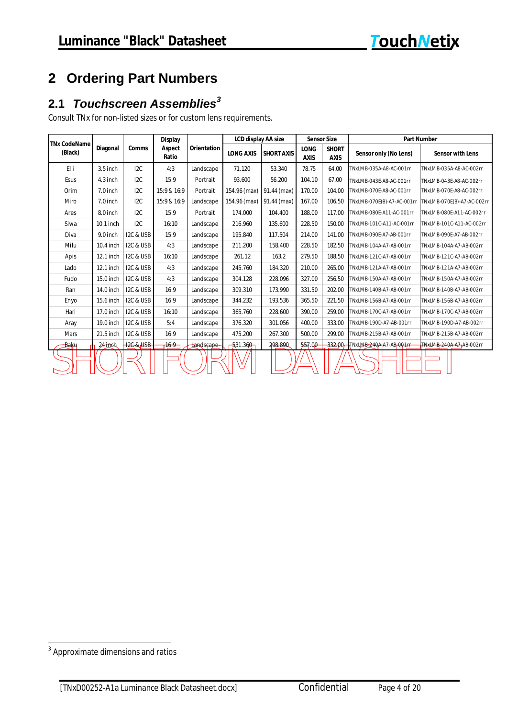# **2 Ordering Part Numbers**

## *Touchscreen Assemblies<sup>3</sup>* **2.1**

Consult TNx for non-listed sizes or for custom lens requirements.

|                                | Diagonal    | <b>Comms</b>  | <b>Display</b><br>Aspect<br>Ratio | <b>Orientation</b> | <b>LCD display AA size</b> |                   | <b>Sensor Size</b>         |                             | <b>Part Number</b>              |                            |  |  |
|--------------------------------|-------------|---------------|-----------------------------------|--------------------|----------------------------|-------------------|----------------------------|-----------------------------|---------------------------------|----------------------------|--|--|
| <b>TNx CodeName</b><br>(Black) |             |               |                                   |                    | <b>LONG AXIS</b>           | <b>SHORT AXIS</b> | <b>LONG</b><br><b>AXIS</b> | <b>SHORT</b><br><b>AXIS</b> | Sensor only (No Lens)           | <b>Sensor with Lens</b>    |  |  |
| Elli                           | $3.5$ inch  | 12C           | 4:3                               | Landscape          | 71.120                     | 53.340            | 78.75                      | 64.00                       | TNxLMB-035A-A8-AC-001rr         | TNxLMB-035A-A8-AC-002rr    |  |  |
| Esus                           | $4.3$ inch  | 12C           | 15:9                              | Portrait           | 93.600                     | 56.200            | 104.10                     | 67.00                       | TNxLMB-043E-A8-AC-001rr         | TNxLMB-043E-A8-AC-002rr    |  |  |
| Orim                           | $7.0$ inch  | 12C           | 15:9 & 16:9                       | Portrait           | 154.96 (max)               | 91.44 (max)       | 170.00                     | 104.00                      | TNxLMB-070E-A8-AC-001rr         | TNxLMB-070E-A8-AC-002rr    |  |  |
| Miro                           | $7.0$ inch  | 12C           | 15:9 & 16:9                       | Landscape          | 154.96 (max)               | 91.44 (max)       | 167.00                     | 106.50                      | TNxLMB-070E(B)-A7-AC-001rr      | TNxLMB-070E(B)-A7-AC-002rr |  |  |
| Ares                           | 8.0 inch    | 12C           | 15:9                              | Portrait           | 174.000                    | 104.400           | 188.00                     | 117.00                      | TNxLMB-080E-A11-AC-001rr        | TNxLMB-080E-A11-AC-002rr   |  |  |
| Siwa                           | $10.1$ inch | 12C           | 16:10                             | Landscape          | 216.960                    | 135.600           | 228.50                     | 150.00                      | TNxLMB-101C-A11-AC-001rr        | TNxLMB-101C-A11-AC-002rr   |  |  |
| Diva                           | 9.0 inch    | I2C & USB     | 15:9                              | Landscape          | 195.840                    | 117.504           | 214.00                     | 141.00                      | TNxLMB-090E-A7-AB-001rr         | TNxLMB-090E-A7-AB-002rr    |  |  |
| Milu                           | 10.4 inch   | I2C & USB     | 4:3                               | Landscape          | 211.200                    | 158.400           | 228.50                     | 182.50                      | TNxLMB-104A-A7-AB-001rr         | TNxLMB-104A-A7-AB-002rr    |  |  |
| Apis                           | $12.1$ inch | I2C & USB     | 16:10                             | Landscape          | 261.12                     | 163.2             | 279.50                     | 188.50                      | TNxLMB-121C-A7-AB-001rr         | TNxLMB-121C-A7-AB-002rr    |  |  |
| Lado                           | $12.1$ inch | I2C & USB     | 4:3                               | Landscape          | 245.760                    | 184.320           | 210.00                     | 265.00                      | TNxLMB-121A-A7-AB-001rr         | TNxLMB-121A-A7-AB-002rr    |  |  |
| Fudo                           | 15.0 inch   | I2C & USB     | 4:3                               | Landscape          | 304.128                    | 228.096           | 327.00                     | 256.50                      | TNxLMB-150A-A7-AB-001rr         | TNxLMB-150A-A7-AB-002rr    |  |  |
| Ran                            | 14.0 inch   | I2C & USB     | 16:9                              | Landscape          | 309.310                    | 173.990           | 331.50                     | 202.00                      | TNxLMB-140B-A7-AB-001rr         | TNxLMB-140B-A7-AB-002rr    |  |  |
| Enyo                           | 15.6 inch   | I2C & USB     | 16:9                              | Landscape          | 344.232                    | 193.536           | 365.50                     | 221.50                      | TNxLMB-156B-A7-AB-001rr         | TNxLMB-156B-A7-AB-002rr    |  |  |
| Hari                           | 17.0 inch   | I2C & USB     | 16:10                             | Landscape          | 365.760                    | 228.600           | 390.00                     | 259.00                      | TNxLMB-170C-A7-AB-001rr         | TNxLMB-170C-A7-AB-002rr    |  |  |
| Aray                           | 19.0 inch   | I2C & USB     | 5:4                               | Landscape          | 376.320                    | 301.056           | 400.00                     | 333.00                      | TNxLMB-190D-A7-AB-001rr         | TNxLMB-190D-A7-AB-002rr    |  |  |
| <b>Mars</b>                    | $21.5$ inch | I2C & USB     | 16:9                              | Landscape          | 475.200                    | 267.300           | 500.00                     | 299.00                      | TNxLMB-215B-A7-AB-001rr         | TNxLMB-215B-A7-AB-002rr    |  |  |
| Jakµ                           | $24$ inch   | $+2C$ & $+2C$ | $-16:9$                           | <b>Landscape</b>   | $-531.360 -$               | 298.890           | 557.00                     |                             | 332.00 TNxLMB 240A-A7-AB-001 FF | TNxLMB-240A-A7-AB-002rr    |  |  |
|                                |             |               |                                   |                    |                            |                   |                            |                             |                                 |                            |  |  |

 3 Approximate dimensions and ratios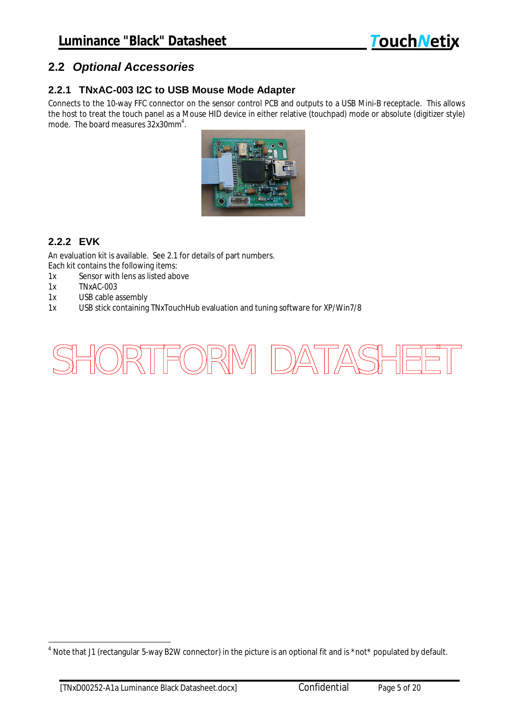#### **2.2** *Optional Accessories*

#### **2.2.1 TNxAC-003 I2C to USB Mouse Mode Adapter**

Connects to the 10-way FFC connector on the sensor control PCB and outputs to a USB Mini-B receptacle. This allows the host to treat the touch panel as a Mouse HID device in either relative (touchpad) mode or absolute (digitizer style) mode. The board measures  $32x30$ mm $^4$ .



#### **2.2.2 EVK**

An evaluation kit is available. See 2.1 for details of part numbers. Each kit contains the following items:

- 1x Sensor with lens as listed above
- 1x TNxAC-003
- 1x USB cable assembly
- 1x USB stick containing TNxTouchHub evaluation and tuning software for XP/Win7/8



 $\overline{a}$  $^4$  Note that J1 (rectangular 5-way B2W connector) in the picture is an optional fit and is \*not\* populated by default.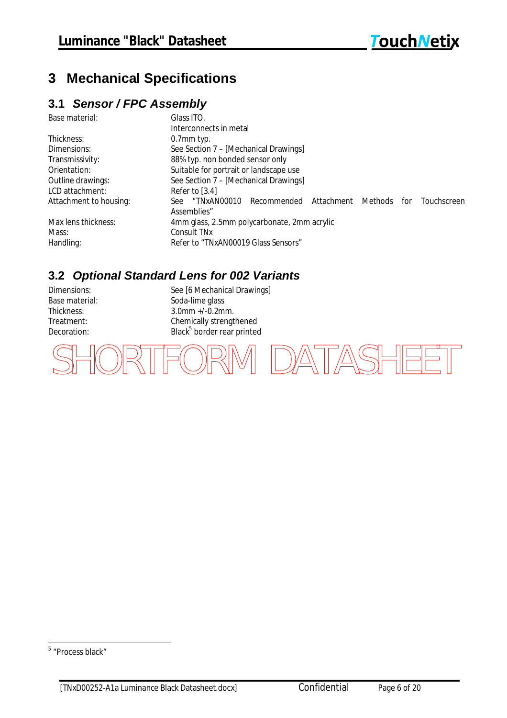# **3 Mechanical Specifications**

#### **3.1** *Sensor / FPC Assembly*

| Base material:         | Glass ITO.                                                                         |  |  |  |  |  |  |  |
|------------------------|------------------------------------------------------------------------------------|--|--|--|--|--|--|--|
|                        | Interconnects in metal                                                             |  |  |  |  |  |  |  |
| Thickness:             | $0.7$ mm typ.                                                                      |  |  |  |  |  |  |  |
| Dimensions:            | See Section 7 – [Mechanical Drawings]                                              |  |  |  |  |  |  |  |
| Transmissivity:        | 88% typ. non bonded sensor only                                                    |  |  |  |  |  |  |  |
| Orientation:           | Suitable for portrait or landscape use                                             |  |  |  |  |  |  |  |
| Outline drawings:      | See Section 7 - [Mechanical Drawings]                                              |  |  |  |  |  |  |  |
| LCD attachment:        | Refer to $[3.4]$                                                                   |  |  |  |  |  |  |  |
| Attachment to housing: | "TNxAN00010<br>Attachment<br>Touchscreen<br>Recommended<br>Methods<br>for<br>See - |  |  |  |  |  |  |  |
|                        | Assemblies"                                                                        |  |  |  |  |  |  |  |
| Max lens thickness:    | 4mm glass, 2.5mm polycarbonate, 2mm acrylic                                        |  |  |  |  |  |  |  |
| Mass:                  | Consult TN <sub>x</sub>                                                            |  |  |  |  |  |  |  |
| Handling:              | Refer to "TNxAN00019 Glass Sensors"                                                |  |  |  |  |  |  |  |

## **3.2** *Optional Standard Lens for 002 Variants*

Decoration:

Dimensions: See [6 Mechanical Drawings] Base material: Soda-lime glass Thickness: 3.0mm +/-0.2mm.<br>Treatment: Chemically strengt Chemically strengthened Black<sup>5</sup> border rear printed

'FORM DATASHEET

<sup>&</sup>lt;sup>5</sup> "Process black"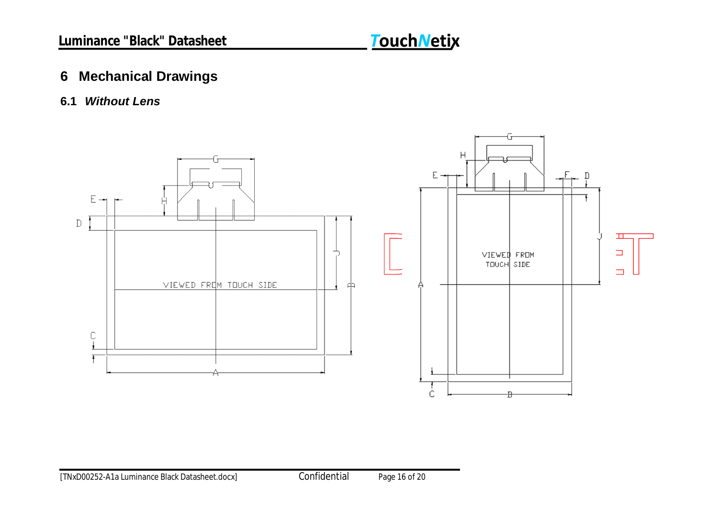## **6 Mechanical Drawings**

## **6.1** *Without Lens*

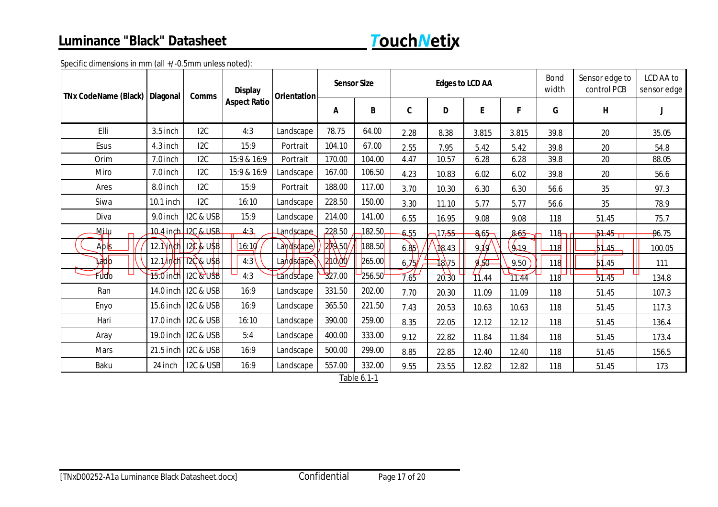## **Luminance "Black" Datasheet**



Specific dimensions in mm (all +/-0.5mm unless noted):

| <b>TNx CodeName (Black)</b> | Diagonal    | <b>Comms</b>                   | <b>Display</b><br><b>Orientation</b><br><b>Aspect Ratio</b> |                        | <b>Sensor Size</b> |        | <b>Edges to LCD AA</b> |       |          |             | Bond<br>width    | Sensor edge to<br>control PCB | LCD AA to<br>sensor edge |
|-----------------------------|-------------|--------------------------------|-------------------------------------------------------------|------------------------|--------------------|--------|------------------------|-------|----------|-------------|------------------|-------------------------------|--------------------------|
|                             |             |                                |                                                             |                        | A                  | B      | C                      | D     | E        | F           | G                | H                             |                          |
| Elli                        | $3.5$ inch  | 12C                            | 4:3                                                         | Landscape              | 78.75              | 64.00  | 2.28                   | 8.38  | 3.815    | 3.815       | 39.8             | 20                            | 35.05                    |
| Esus                        | 4.3 inch    | 12C                            | 15:9                                                        | Portrait               | 104.10             | 67.00  | 2.55                   | 7.95  | 5.42     | 5.42        | 39.8             | $20\,$                        | 54.8                     |
| Orim                        | 7.0 inch    | 12C                            | 15:9 & 16:9                                                 | Portrait               | 170.00             | 104.00 | 4.47                   | 10.57 | 6.28     | 6.28        | 39.8             | 20                            | 88.05                    |
| Miro                        | $7.0$ inch  | 12C                            | 15:9 & 16:9                                                 | Landscape              | 167.00             | 106.50 | 4.23                   | 10.83 | 6.02     | 6.02        | 39.8             | 20                            | 56.6                     |
| Ares                        | 8.0 inch    | 12C                            | 15:9                                                        | Portrait               | 188.00             | 117.00 | 3.70                   | 10.30 | 6.30     | 6.30        | 56.6             | 35                            | 97.3                     |
| Siwa                        | $10.1$ inch | 12C                            | 16:10                                                       | Landscape              | 228.50             | 150.00 | 3.30                   | 11.10 | 5.77     | 5.77        | 56.6             | 35                            | 78.9                     |
| Diva                        | 9.0 inch    | I2C & USB                      | 15:9                                                        | Landscape              | 214.00             | 141.00 | 6.55                   | 16.95 | 9.08     | 9.08        | 118              | 51.45                         | 75.7                     |
| М <u>і</u> Іи               |             | 10.4 inch 12C & USB            | 4:3                                                         | Landscape              | 228.50             | 182.50 | 6.55                   | 17,55 | $8.65 -$ | 8.65        | 118              | 51.45                         | 96.75                    |
| Apis                        |             | 12.1 inch   120 & USB          | 16:1 $\phi$                                                 | Landscape              | $\sqrt{2Q}$ .50    | 188.50 | d.85                   | 18.43 | 9/19     | $\chi_{19}$ | 118              | 51.45                         | 100.05                   |
| lado ∣                      |             | 12. <i>h</i> /inch \\\xc & USB | 4:3                                                         | Landscape              | 210.00/            | 265.00 | 4.15/                  | 18.75 | 9/50     | 9.50        | 118              | 51.45                         | 111                      |
| Fudo                        | $15.0$ inch | $12c$ & USB                    | 4:3                                                         | Landscape <sup>-</sup> | 327.00             | 256.50 | 7.65                   | 20.30 | 11.44    | 11.44       | $11\overline{8}$ | 51.45                         | 134.8                    |
| Ran                         | 14.0 inch   | I2C & USB                      | 16:9                                                        | Landscape              | 331.50             | 202.00 | 7.70                   | 20.30 | 11.09    | 11.09       | 118              | 51.45                         | 107.3                    |
| Enyo                        | 15.6 inch   | I2C & USB                      | 16:9                                                        | Landscape              | 365.50             | 221.50 | 7.43                   | 20.53 | 10.63    | 10.63       | 118              | 51.45                         | 117.3                    |
| Hari                        |             | 17.0 inch   I2C & USB          | 16:10                                                       | Landscape              | 390.00             | 259.00 | 8.35                   | 22.05 | 12.12    | 12.12       | 118              | 51.45                         | 136.4                    |
| Aray                        | 19.0 inch   | I2C & USB                      | 5:4                                                         | Landscape              | 400.00             | 333.00 | 9.12                   | 22.82 | 11.84    | 11.84       | 118              | 51.45                         | 173.4                    |
| <b>Mars</b>                 | 21.5 inch   | I2C & USB                      | 16:9                                                        | Landscape              | 500.00             | 299.00 | 8.85                   | 22.85 | 12.40    | 12.40       | 118              | 51.45                         | 156.5                    |
| Baku                        | 24 inch     | I2C & USB                      | 16:9                                                        | Landscape              | 557.00             | 332.00 | 9.55                   | 23.55 | 12.82    | 12.82       | 118              | 51.45                         | 173                      |

<u>Table 6.1-1</u>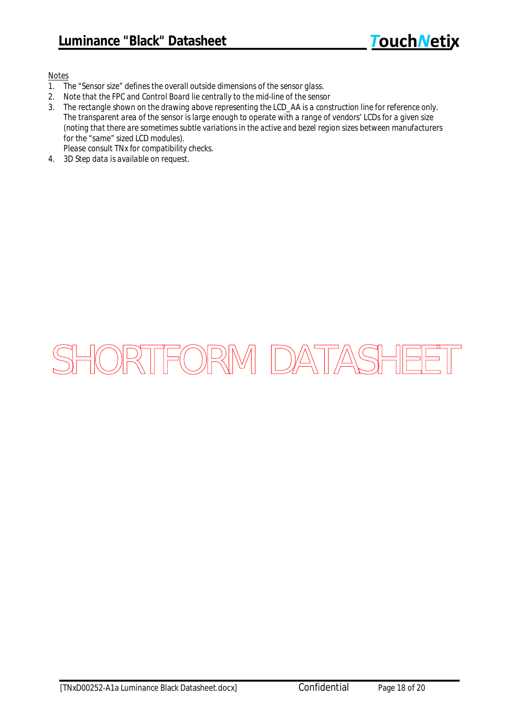#### *Notes*

- *1. The "Sensor size" defines the overall outside dimensions of the sensor glass.*
- *2. Note that the FPC and Control Board lie centrally to the mid-line of the sensor*
- *3. The rectangle shown on the drawing above representing the LCD\_AA is a construction line for reference only. The transparent area of the sensor is large enough to operate with a range of vendors' LCDs for a given size (noting that there are sometimes subtle variations in the active and bezel region sizes between manufacturers for the "same" sized LCD modules).*
- *Please consult TNx for compatibility checks.*
- *4. 3D Step data is available on request.*

# SHORTFORM DATASHEET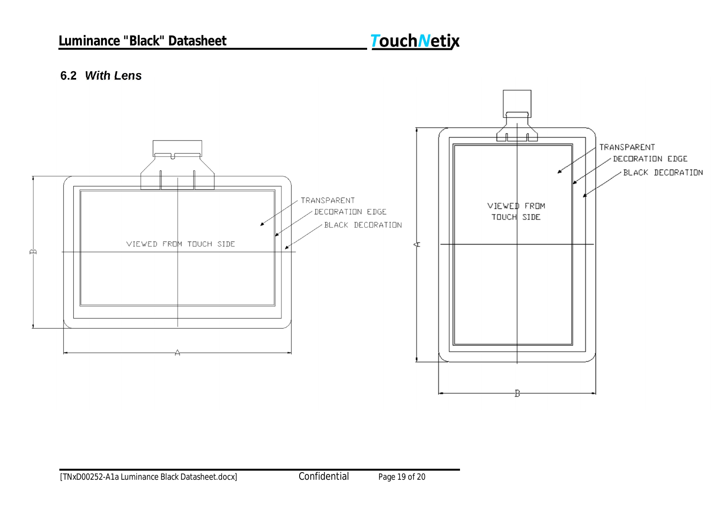## **Luminance "Black" Datasheet**

# **TouchNetix**

#### **6.2** *With Lens*